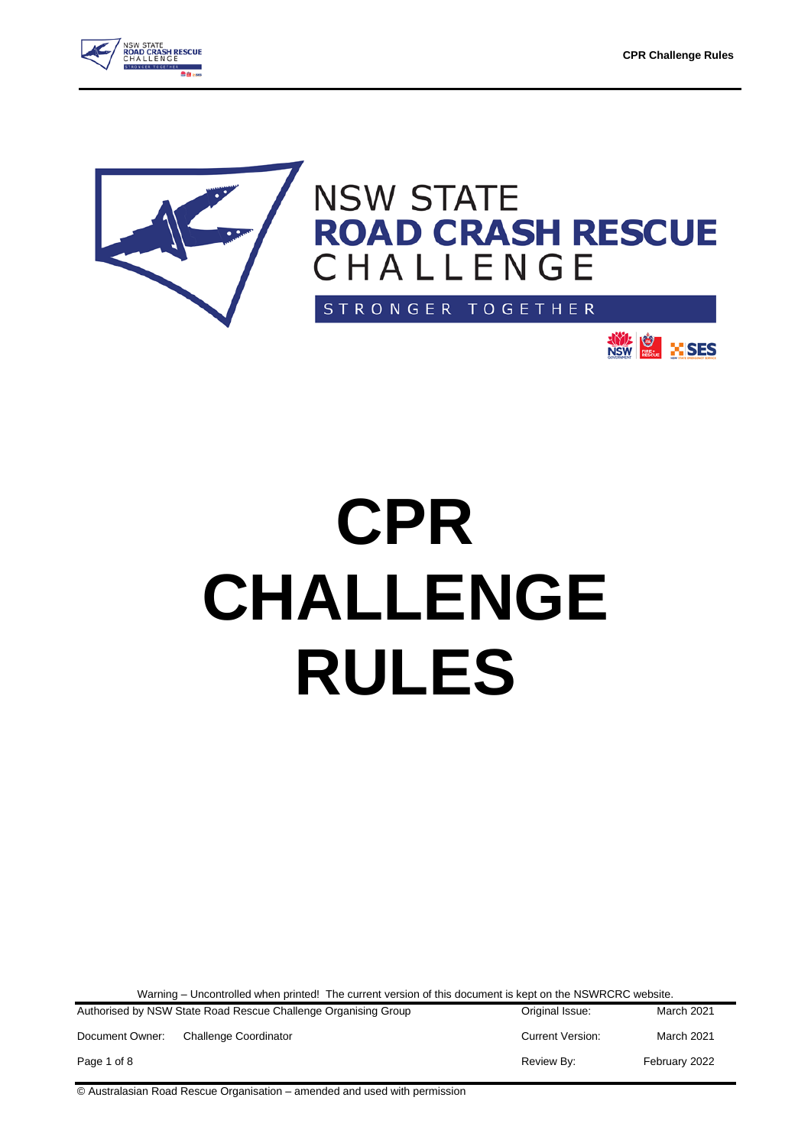



# NSW STATE<br>ROAD CRASH RESCUE<br>CHALLENGE

STRONGER TOGETHER



## **CPR CHALLENGE RULES**

Warning – Uncontrolled when printed! The current version of this document is kept on the NSWRCRC website.

| Authorised by NSW State Road Rescue Challenge Organising Group |                       | Original Issue:         | March 2021        |
|----------------------------------------------------------------|-----------------------|-------------------------|-------------------|
| Document Owner:                                                | Challenge Coordinator | <b>Current Version:</b> | <b>March 2021</b> |
| Page 1 of 8                                                    |                       | Review By:              | February 2022     |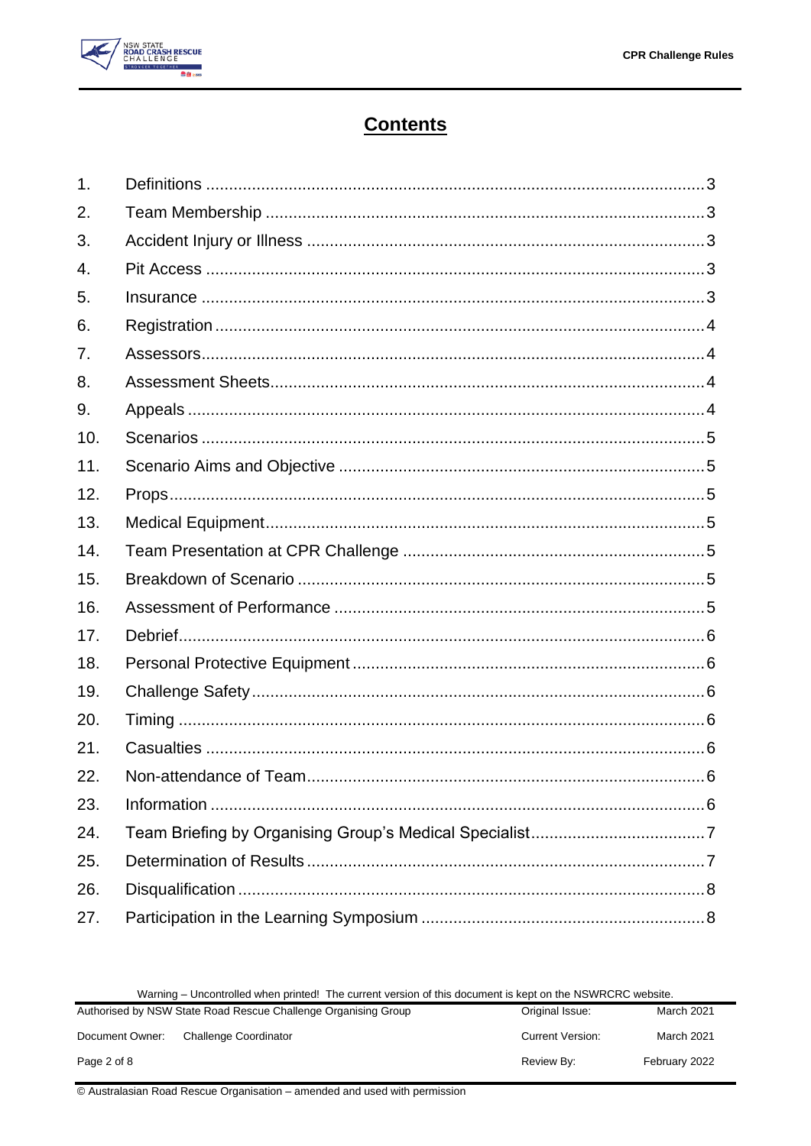

### **Contents**

| 1.             |  |
|----------------|--|
| 2.             |  |
| 3.             |  |
| 4.             |  |
| 5.             |  |
| 6.             |  |
| 7 <sub>1</sub> |  |
| 8.             |  |
| 9.             |  |
| 10.            |  |
| 11.            |  |
| 12.            |  |
| 13.            |  |
| 14.            |  |
| 15.            |  |
| 16.            |  |
| 17.            |  |
| 18.            |  |
| 19.            |  |
| 20.            |  |
| 21.            |  |
| 22.            |  |
| 23.            |  |
| 24.            |  |
| 25.            |  |
| 26.            |  |
| 27.            |  |

|  | Warning – Uncontrolled when printed! The current version of this document is kept on the NSWRCRC website. |
|--|-----------------------------------------------------------------------------------------------------------|
|--|-----------------------------------------------------------------------------------------------------------|

|                 | <b>Trailing – Uncontrolled When printed:</b> The carlotte version of this document is Kept on the NOTTHONO Website.<br>Authorised by NSW State Road Rescue Challenge Organising Group<br>March 2021<br>Original Issue: |                         |               |  |
|-----------------|------------------------------------------------------------------------------------------------------------------------------------------------------------------------------------------------------------------------|-------------------------|---------------|--|
| Document Owner: | <b>Challenge Coordinator</b>                                                                                                                                                                                           | <b>Current Version:</b> | March 2021    |  |
| Page 2 of 8     |                                                                                                                                                                                                                        | Review By:              | February 2022 |  |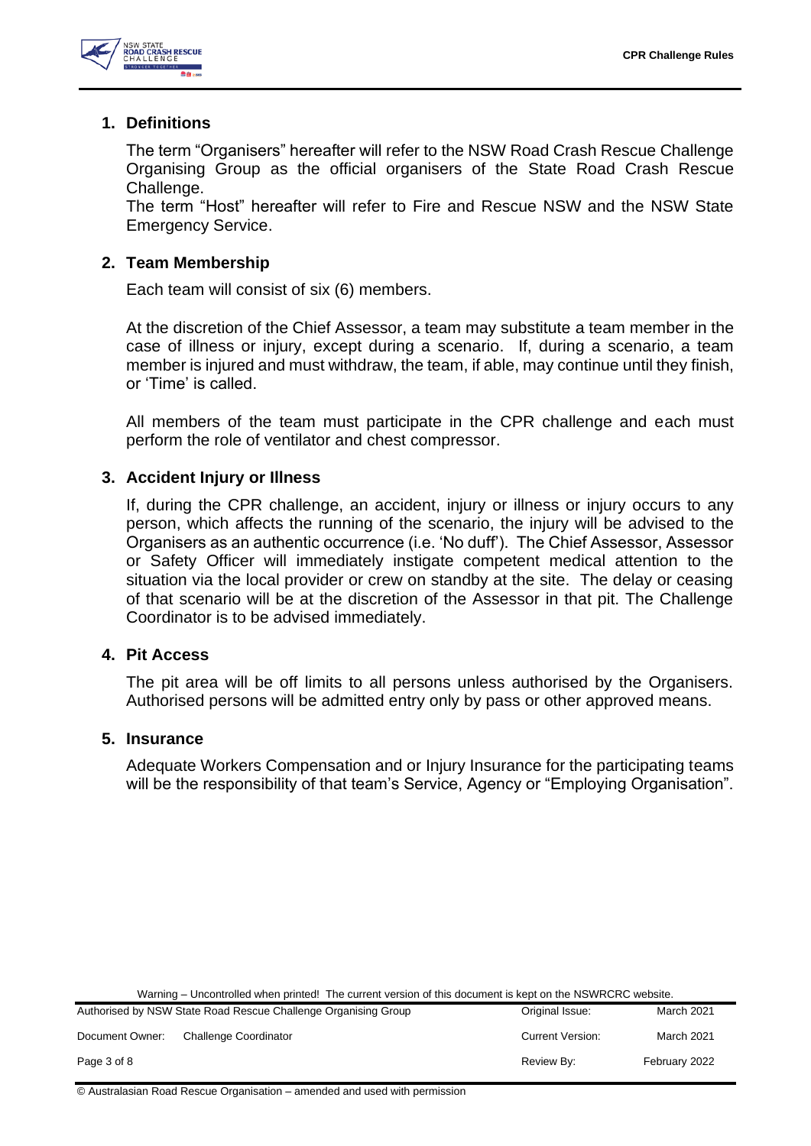

#### <span id="page-2-0"></span>**1. Definitions**

The term "Organisers" hereafter will refer to the NSW Road Crash Rescue Challenge Organising Group as the official organisers of the State Road Crash Rescue Challenge.

The term "Host" hereafter will refer to Fire and Rescue NSW and the NSW State Emergency Service.

#### <span id="page-2-1"></span>**2. Team Membership**

Each team will consist of six (6) members.

At the discretion of the Chief Assessor, a team may substitute a team member in the case of illness or injury, except during a scenario. If, during a scenario, a team member is injured and must withdraw, the team, if able, may continue until they finish, or 'Time' is called.

All members of the team must participate in the CPR challenge and each must perform the role of ventilator and chest compressor.

#### <span id="page-2-2"></span>**3. Accident Injury or Illness**

If, during the CPR challenge, an accident, injury or illness or injury occurs to any person, which affects the running of the scenario, the injury will be advised to the Organisers as an authentic occurrence (i.e. 'No duff'). The Chief Assessor, Assessor or Safety Officer will immediately instigate competent medical attention to the situation via the local provider or crew on standby at the site. The delay or ceasing of that scenario will be at the discretion of the Assessor in that pit. The Challenge Coordinator is to be advised immediately.

#### <span id="page-2-3"></span>**4. Pit Access**

The pit area will be off limits to all persons unless authorised by the Organisers. Authorised persons will be admitted entry only by pass or other approved means.

#### <span id="page-2-4"></span>**5. Insurance**

Adequate Workers Compensation and or Injury Insurance for the participating teams will be the responsibility of that team's Service, Agency or "Employing Organisation".

Warning – Uncontrolled when printed! The current version of this document is kept on the NSWRCRC website.

|                 | Authorised by NSW State Road Rescue Challenge Organising Group | Original Issue:         | March 2021        |
|-----------------|----------------------------------------------------------------|-------------------------|-------------------|
| Document Owner: | <b>Challenge Coordinator</b>                                   | <b>Current Version:</b> | <b>March 2021</b> |
| Page 3 of 8     |                                                                | Review By:              | February 2022     |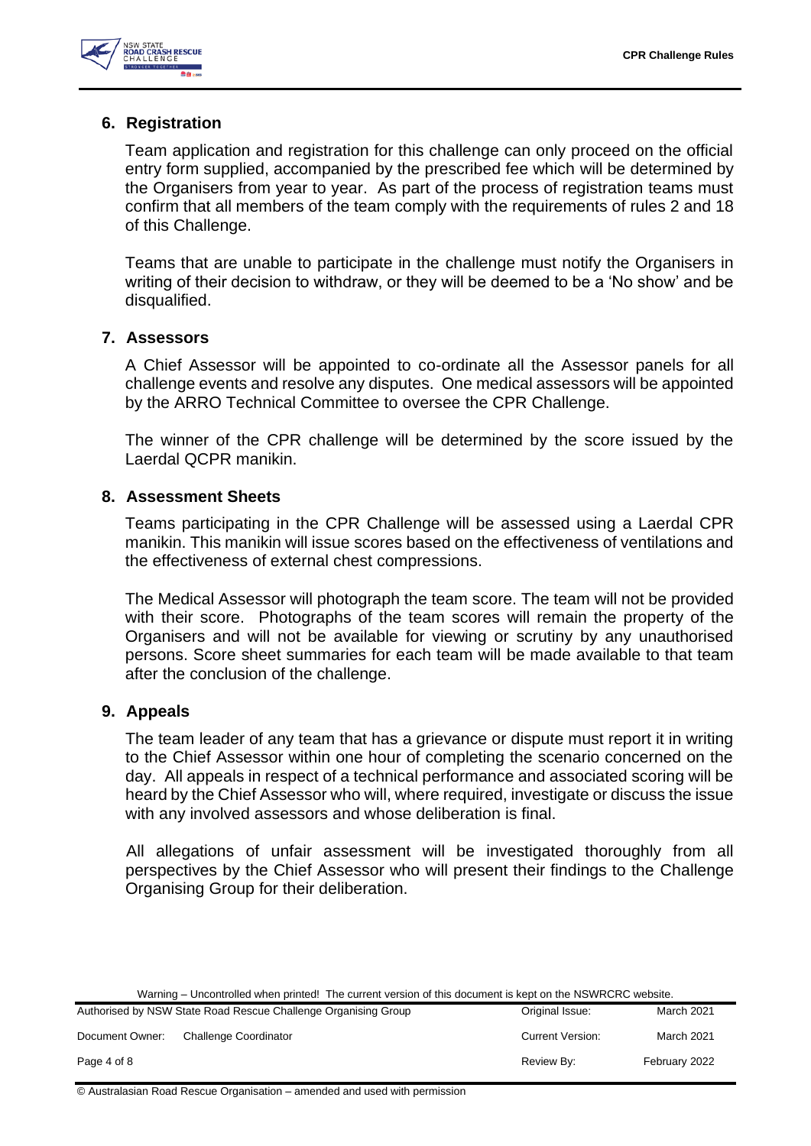

#### <span id="page-3-0"></span>**6. Registration**

Team application and registration for this challenge can only proceed on the official entry form supplied, accompanied by the prescribed fee which will be determined by the Organisers from year to year. As part of the process of registration teams must confirm that all members of the team comply with the requirements of rules 2 and 18 of this Challenge.

Teams that are unable to participate in the challenge must notify the Organisers in writing of their decision to withdraw, or they will be deemed to be a 'No show' and be disqualified.

#### <span id="page-3-1"></span>**7. Assessors**

A Chief Assessor will be appointed to co-ordinate all the Assessor panels for all challenge events and resolve any disputes. One medical assessors will be appointed by the ARRO Technical Committee to oversee the CPR Challenge.

The winner of the CPR challenge will be determined by the score issued by the Laerdal QCPR manikin.

#### <span id="page-3-2"></span>**8. Assessment Sheets**

Teams participating in the CPR Challenge will be assessed using a Laerdal CPR manikin. This manikin will issue scores based on the effectiveness of ventilations and the effectiveness of external chest compressions.

The Medical Assessor will photograph the team score. The team will not be provided with their score. Photographs of the team scores will remain the property of the Organisers and will not be available for viewing or scrutiny by any unauthorised persons. Score sheet summaries for each team will be made available to that team after the conclusion of the challenge.

#### <span id="page-3-3"></span>**9. Appeals**

The team leader of any team that has a grievance or dispute must report it in writing to the Chief Assessor within one hour of completing the scenario concerned on the day. All appeals in respect of a technical performance and associated scoring will be heard by the Chief Assessor who will, where required, investigate or discuss the issue with any involved assessors and whose deliberation is final.

All allegations of unfair assessment will be investigated thoroughly from all perspectives by the Chief Assessor who will present their findings to the Challenge Organising Group for their deliberation.

|  | Warning – Uncontrolled when printed! The current version of this document is kept on the NSWRCRC website. |  |
|--|-----------------------------------------------------------------------------------------------------------|--|
|--|-----------------------------------------------------------------------------------------------------------|--|

|                 | Authorised by NSW State Road Rescue Challenge Organising Group | Original Issue:         | March 2021    |
|-----------------|----------------------------------------------------------------|-------------------------|---------------|
| Document Owner: | Challenge Coordinator                                          | <b>Current Version:</b> | March 2021    |
| Page 4 of 8     |                                                                | Review By:              | February 2022 |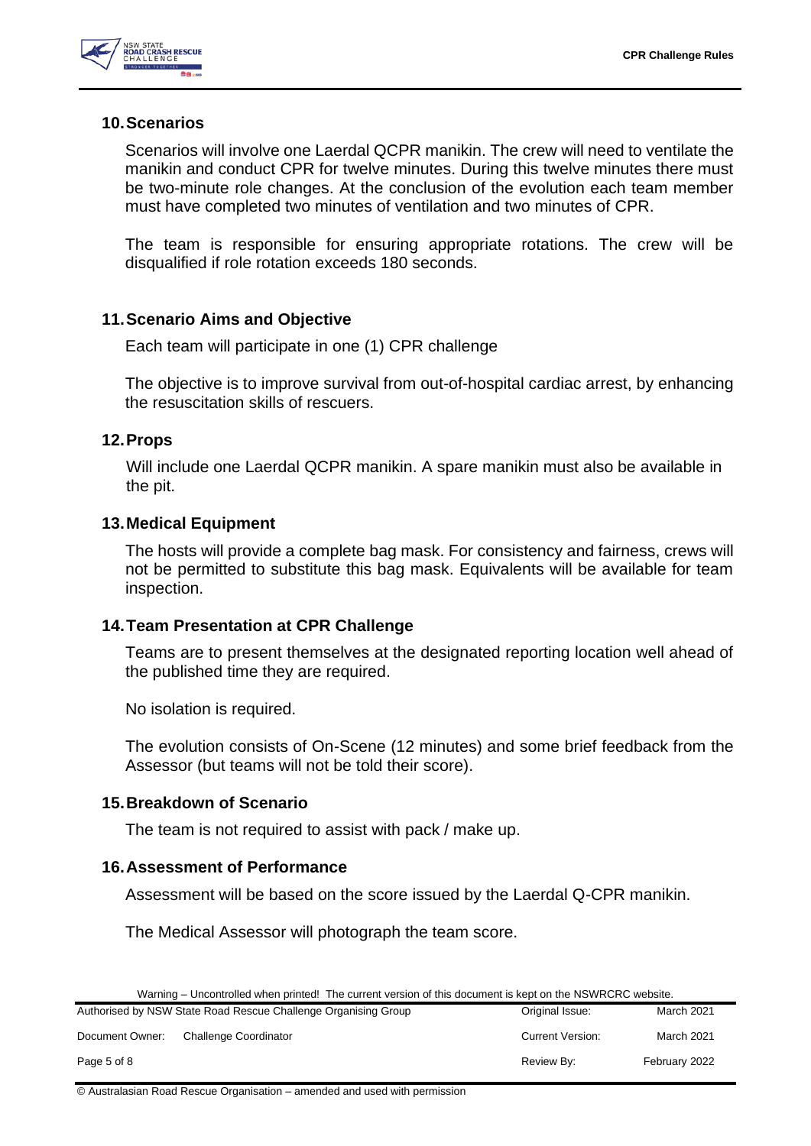

#### <span id="page-4-0"></span>**10.Scenarios**

Scenarios will involve one Laerdal QCPR manikin. The crew will need to ventilate the manikin and conduct CPR for twelve minutes. During this twelve minutes there must be two-minute role changes. At the conclusion of the evolution each team member must have completed two minutes of ventilation and two minutes of CPR.

The team is responsible for ensuring appropriate rotations. The crew will be disqualified if role rotation exceeds 180 seconds.

#### <span id="page-4-1"></span>**11.Scenario Aims and Objective**

Each team will participate in one (1) CPR challenge

The objective is to improve survival from out-of-hospital cardiac arrest, by enhancing the resuscitation skills of rescuers.

#### <span id="page-4-2"></span>**12.Props**

Will include one Laerdal QCPR manikin. A spare manikin must also be available in the pit.

#### <span id="page-4-3"></span>**13.Medical Equipment**

The hosts will provide a complete bag mask. For consistency and fairness, crews will not be permitted to substitute this bag mask. Equivalents will be available for team inspection.

#### <span id="page-4-4"></span>**14.Team Presentation at CPR Challenge**

Teams are to present themselves at the designated reporting location well ahead of the published time they are required.

No isolation is required.

The evolution consists of On-Scene (12 minutes) and some brief feedback from the Assessor (but teams will not be told their score).

#### <span id="page-4-5"></span>**15.Breakdown of Scenario**

The team is not required to assist with pack / make up.

#### <span id="page-4-6"></span>**16.Assessment of Performance**

Assessment will be based on the score issued by the Laerdal Q-CPR manikin.

The Medical Assessor will photograph the team score.

|  | Warning – Uncontrolled when printed! The current version of this document is kept on the NSWRCRC website. |  |
|--|-----------------------------------------------------------------------------------------------------------|--|
|  |                                                                                                           |  |

|                 | Authorised by NSW State Road Rescue Challenge Organising Group | Original Issue:         | March 2021        |
|-----------------|----------------------------------------------------------------|-------------------------|-------------------|
| Document Owner: | Challenge Coordinator                                          | <b>Current Version:</b> | <b>March 2021</b> |
| Page 5 of 8     |                                                                | Review By:              | February 2022     |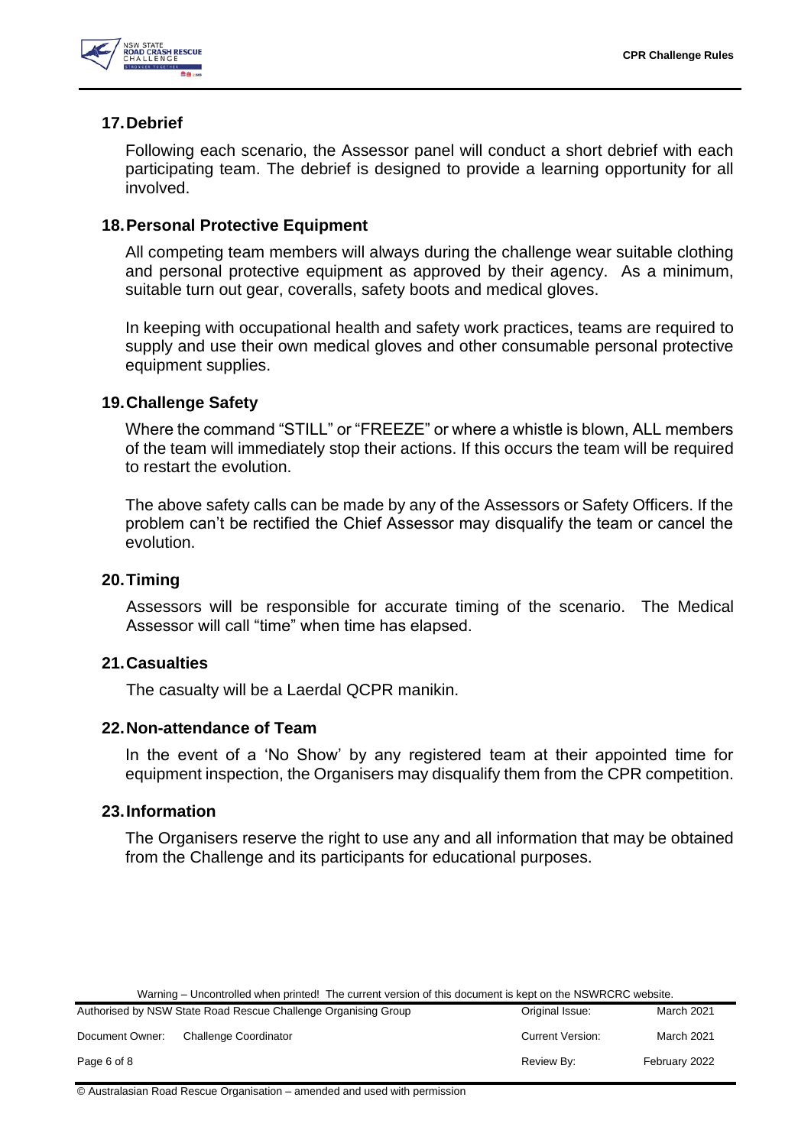

#### <span id="page-5-0"></span>**17.Debrief**

Following each scenario, the Assessor panel will conduct a short debrief with each participating team. The debrief is designed to provide a learning opportunity for all involved.

#### <span id="page-5-1"></span>**18.Personal Protective Equipment**

All competing team members will always during the challenge wear suitable clothing and personal protective equipment as approved by their agency. As a minimum, suitable turn out gear, coveralls, safety boots and medical gloves.

In keeping with occupational health and safety work practices, teams are required to supply and use their own medical gloves and other consumable personal protective equipment supplies.

#### <span id="page-5-2"></span>**19.Challenge Safety**

Where the command "STILL" or "FREEZE" or where a whistle is blown, ALL members of the team will immediately stop their actions. If this occurs the team will be required to restart the evolution.

The above safety calls can be made by any of the Assessors or Safety Officers. If the problem can't be rectified the Chief Assessor may disqualify the team or cancel the evolution.

#### <span id="page-5-3"></span>**20.Timing**

Assessors will be responsible for accurate timing of the scenario. The Medical Assessor will call "time" when time has elapsed.

#### <span id="page-5-4"></span>**21.Casualties**

The casualty will be a Laerdal QCPR manikin.

#### <span id="page-5-5"></span>**22.Non-attendance of Team**

In the event of a 'No Show' by any registered team at their appointed time for equipment inspection, the Organisers may disqualify them from the CPR competition.

#### <span id="page-5-6"></span>**23.Information**

The Organisers reserve the right to use any and all information that may be obtained from the Challenge and its participants for educational purposes.

|  | Warning – Uncontrolled when printed! The current version of this document is kept on the NSWRCRC website. |
|--|-----------------------------------------------------------------------------------------------------------|
|--|-----------------------------------------------------------------------------------------------------------|

|                 | Authorised by NSW State Road Rescue Challenge Organising Group | Original Issue:         | March 2021        |
|-----------------|----------------------------------------------------------------|-------------------------|-------------------|
| Document Owner: | <b>Challenge Coordinator</b>                                   | <b>Current Version:</b> | <b>March 2021</b> |
| Page 6 of 8     |                                                                | Review By:              | February 2022     |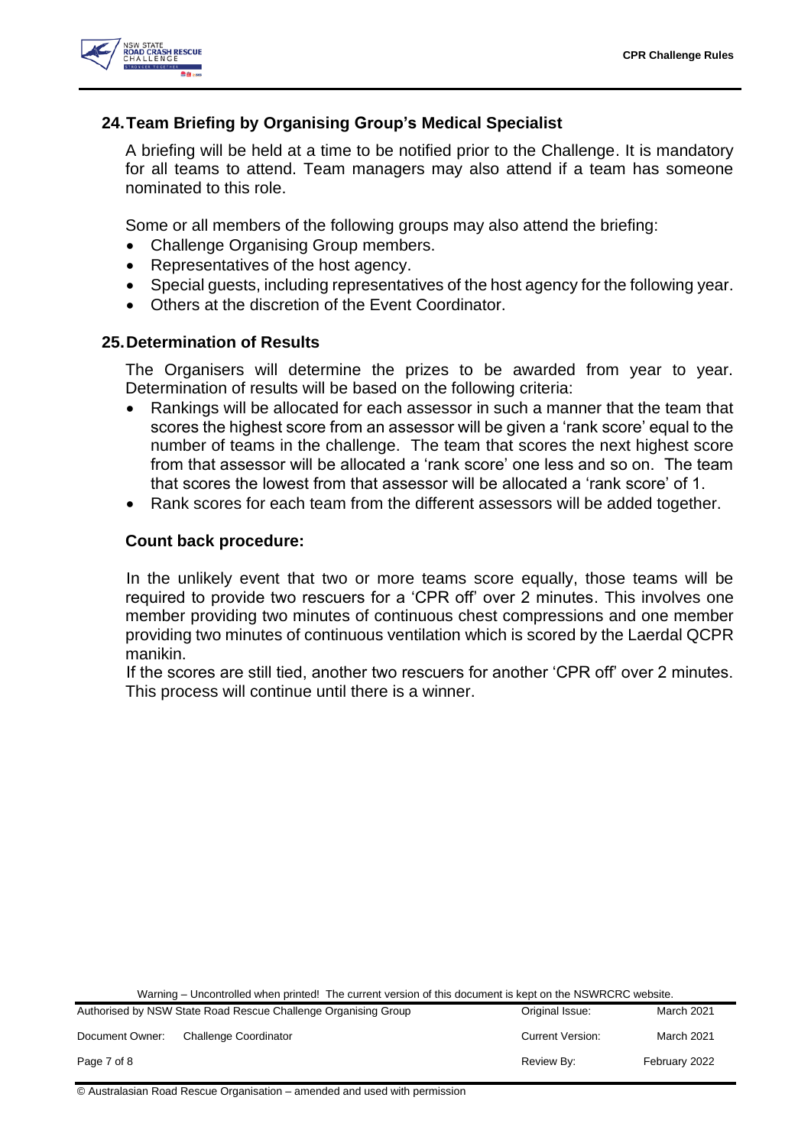

#### <span id="page-6-0"></span>**24.Team Briefing by Organising Group's Medical Specialist**

A briefing will be held at a time to be notified prior to the Challenge. It is mandatory for all teams to attend. Team managers may also attend if a team has someone nominated to this role.

Some or all members of the following groups may also attend the briefing:

- Challenge Organising Group members.
- Representatives of the host agency.
- Special guests, including representatives of the host agency for the following year.
- Others at the discretion of the Event Coordinator.

#### <span id="page-6-1"></span>**25.Determination of Results**

The Organisers will determine the prizes to be awarded from year to year. Determination of results will be based on the following criteria:

- Rankings will be allocated for each assessor in such a manner that the team that scores the highest score from an assessor will be given a 'rank score' equal to the number of teams in the challenge. The team that scores the next highest score from that assessor will be allocated a 'rank score' one less and so on. The team that scores the lowest from that assessor will be allocated a 'rank score' of 1.
- Rank scores for each team from the different assessors will be added together.

#### **Count back procedure:**

In the unlikely event that two or more teams score equally, those teams will be required to provide two rescuers for a 'CPR off' over 2 minutes. This involves one member providing two minutes of continuous chest compressions and one member providing two minutes of continuous ventilation which is scored by the Laerdal QCPR manikin.

If the scores are still tied, another two rescuers for another 'CPR off' over 2 minutes. This process will continue until there is a winner.

Warning – Uncontrolled when printed! The current version of this document is kept on the NSWRCRC website.

|                 | Authorised by NSW State Road Rescue Challenge Organising Group | Original Issue:         | March 2021        |
|-----------------|----------------------------------------------------------------|-------------------------|-------------------|
| Document Owner: | <b>Challenge Coordinator</b>                                   | <b>Current Version:</b> | <b>March 2021</b> |
| Page 7 of 8     |                                                                | Review By:              | February 2022     |